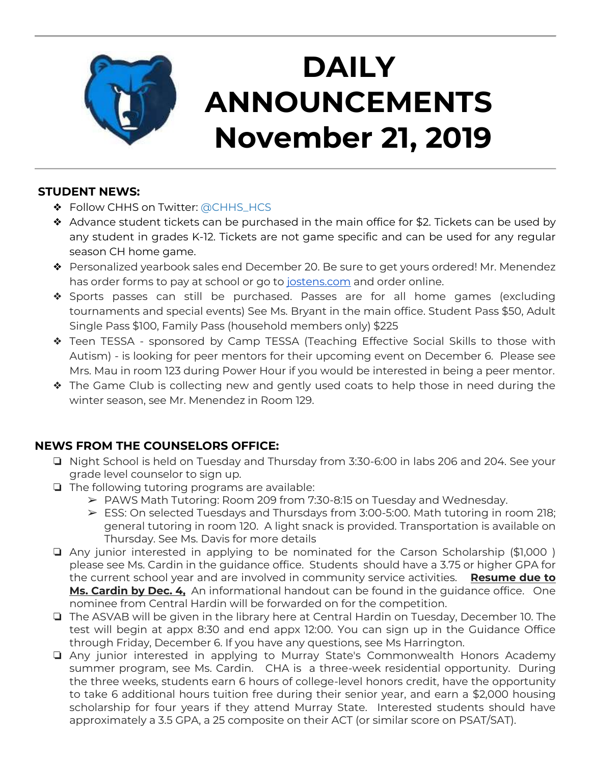

# **DAILY ANNOUNCEMENTS November 21, 2019**

### **STUDENT NEWS:**

- ◆ Follow CHHS on Twitter: [@CHHS\\_HCS](https://twitter.com/CHHS_HCS)
- ❖ Advance student tickets can be purchased in the main office for \$2. Tickets can be used by any student in grades K-12. Tickets are not game specific and can be used for any regular season CH home game.
- ❖ Personalized yearbook sales end December 20. Be sure to get yours ordered! Mr. Menendez has order forms to pay at school or go to [jostens.com](http://jostens.com/) and order online.
- ❖ Sports passes can still be purchased. Passes are for all home games (excluding tournaments and special events) See Ms. Bryant in the main office. Student Pass \$50, Adult Single Pass \$100, Family Pass (household members only) \$225
- ❖ Teen TESSA sponsored by Camp TESSA (Teaching Effective Social Skills to those with Autism) - is looking for peer mentors for their upcoming event on December 6. Please see Mrs. Mau in room 123 during Power Hour if you would be interested in being a peer mentor.
- ❖ The Game Club is collecting new and gently used coats to help those in need during the winter season, see Mr. Menendez in Room 129.

### **NEWS FROM THE COUNSELORS OFFICE:**

- ❏ Night School is held on Tuesday and Thursday from 3:30-6:00 in labs 206 and 204. See your grade level counselor to sign up.
- ❏ The following tutoring programs are available:
	- ➢ PAWS Math Tutoring: Room 209 from 7:30-8:15 on Tuesday and Wednesday.
	- ➢ ESS: On selected Tuesdays and Thursdays from 3:00-5:00. Math tutoring in room 218; general tutoring in room 120. A light snack is provided. Transportation is available on Thursday. See Ms. Davis for more details
- ❏ Any junior interested in applying to be nominated for the Carson Scholarship (\$1,000 ) please see Ms. Cardin in the guidance office. Students should have a 3.75 or higher GPA for the current school year and are involved in community service activities. **Resume due to Ms. Cardin by Dec. 4,** An informational handout can be found in the guidance office. One nominee from Central Hardin will be forwarded on for the competition.
- ❏ The ASVAB will be given in the library here at Central Hardin on Tuesday, December 10. The test will begin at appx 8:30 and end appx 12:00. You can sign up in the Guidance Office through Friday, December 6. If you have any questions, see Ms Harrington.
- ❏ Any junior interested in applying to Murray State's Commonwealth Honors Academy summer program, see Ms. Cardin. CHA is a three-week residential opportunity. During the three weeks, students earn 6 hours of college-level honors credit, have the opportunity to take 6 additional hours tuition free during their senior year, and earn a \$2,000 housing scholarship for four years if they attend Murray State. Interested students should have approximately a 3.5 GPA, a 25 composite on their ACT (or similar score on PSAT/SAT).